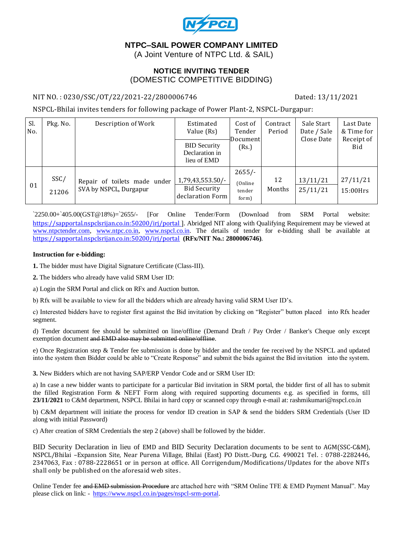

# **NTPC–SAIL POWER COMPANY LIMITED**

(A Joint Venture of NTPC Ltd. & SAIL)

#### **NOTICE INVITING TENDER** (DOMESTIC COMPETITIVE BIDDING)

#### NIT NO.: 0230/SSC/OT/22/2021-22/2800006746 Dated: 13/11/2021

NSPCL-Bhilai invites tenders for following package of Power Plant-2, NSPCL-Durgapur:

| Sl.<br>No. | Pkg. No.      | Description of Work                                    | Estimated<br>Value (Rs)<br><b>BID Security</b><br>Declaration in<br>lieu of EMD | Cost of<br>Tender<br>Document<br>(Rs.)  | Contract<br>Period | Sale Start<br>Date / Sale<br>Close Date | Last Date<br>& Time for<br>Receipt of<br>Bid |
|------------|---------------|--------------------------------------------------------|---------------------------------------------------------------------------------|-----------------------------------------|--------------------|-----------------------------------------|----------------------------------------------|
| 01         | SSC/<br>21206 | Repair of toilets made under<br>SVA by NSPCL, Durgapur | 1,79,43,553.50/-<br><b>Bid Security</b><br>declaration Form                     | $2655/-$<br>(Online)<br>tender<br>form) | 12<br>Months       | 13/11/21<br>25/11/21                    | 27/11/21<br>15:00Hrs                         |

`2250.00+`405.00(GST@18%)=`2655/- [For Online Tender/Form (Download from SRM Portal website: <https://sapportal.nspclsrijan.co.in:50200/irj/portal> ]. Abridged NIT along with Qualifying Requirement may be viewed at [www.ntpctender.com,](http://www.ntpctender.com/) [www.ntpc.co.in,](http://www.ntpc.co.in/) [www.nspcl.co.in.](http://www.nspcl.co.in/) The details of tender for e-bidding shall be available at <https://sapportal.nspclsrijan.co.in:50200/irj/portal> **(RFx/NIT No.: 2800006746)**.

#### **Instruction for e-bidding:**

**1.** The bidder must have Digital Signature Certificate (Class-III).

**2.** The bidders who already have valid SRM User ID:

a) Login the SRM Portal and click on RFx and Auction button.

b) Rfx will be available to view for all the bidders which are already having valid SRM User ID's.

c) Interested bidders have to register first against the Bid invitation by clicking on "Register" button placed into Rfx header segment.

d) Tender document fee should be submitted on line/offline (Demand Draft / Pay Order / Banker's Cheque only except exemption document and EMD also may be submitted online/offline.

e) Once Registration step & Tender fee submission is done by bidder and the tender fee received by the NSPCL and updated into the system then Bidder could be able to "Create Response" and submit the bids against the Bid invitation into the system.

**3.** New Bidders which are not having SAP/ERP Vendor Code and or SRM User ID:

a) In case a new bidder wants to participate for a particular Bid invitation in SRM portal, the bidder first of all has to submit the filled Registration Form & NEFT Form along with required supporting documents e.g. as specified in forms, till **23/11/2021** to C&M department, NSPCL Bhilai in hard copy or scanned copy through e-mail at: rashmikumari@nspcl.co.in

b) C&M department will initiate the process for vendor ID creation in SAP & send the bidders SRM Credentials (User ID along with initial Password)

c) After creation of SRM Credentials the step 2 (above) shall be followed by the bidder.

BID Security Declaration in lieu of EMD and BID Security Declaration documents to be sent to AGM(SSC-C&M), NSPCL/Bhilai –Expansion Site, Near Purena Village, Bhilai (East) PO Distt.-Durg, C.G. 490021 Tel. : 0788-2282446, 2347063, Fax : 0788-2228651 or in person at office. All Corrigendum/Modifications/Updates for the above NITs shall only be published on the aforesaid web sites.

Online Tender fee and EMD submission Procedure are attached here with "SRM Online TFE & EMD Payment Manual". May please click on link: - [https://www.nspcl.co.in/pages/nspcl-srm-portal.](https://www.nspcl.co.in/pages/nspcl-srm-portal)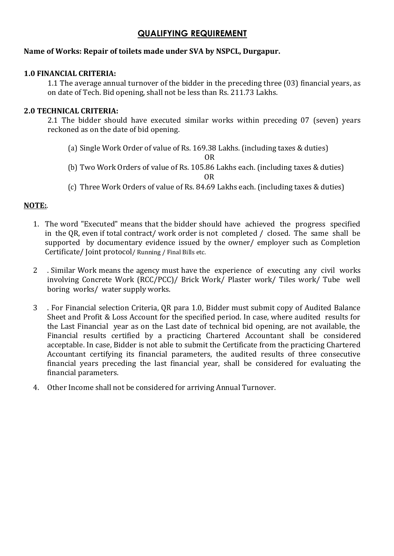# **QUALIFYING REQUIREMENT**

## **Name of Works: Repair of toilets made under SVA by NSPCL, Durgapur.**

#### **1.0 FINANCIAL CRITERIA:**

1.1 The average annual turnover of the bidder in the preceding three (03) financial years, as on date of Tech. Bid opening, shall not be less than Rs. 211.73 Lakhs.

### **2.0 TECHNICAL CRITERIA:**

2.1 The bidder should have executed similar works within preceding 07 (seven) years reckoned as on the date of bid opening.

(a) Single Work Order of value of Rs. 169.38 Lakhs. (including taxes & duties)

OR

(b) Two Work Orders of value of Rs. 105.86 Lakhs each. (including taxes & duties)

OR

(c) Three Work Orders of value of Rs. 84.69 Lakhs each. (including taxes & duties)

#### **NOTE:**.

- 1. The word "Executed" means that the bidder should have achieved the progress specified in the QR, even if total contract/ work order is not completed / closed. The same shall be supported by documentary evidence issued by the owner/ employer such as Completion Certificate/ Joint protocol/ Running / Final Bills etc.
- 2 . Similar Work means the agency must have the experience of executing any civil works involving Concrete Work (RCC/PCC)/ Brick Work/ Plaster work/ Tiles work/ Tube well boring works/ water supply works.
- 3 . For Financial selection Criteria, QR para 1.0, Bidder must submit copy of Audited Balance Sheet and Profit & Loss Account for the specified period. In case, where audited results for the Last Financial year as on the Last date of technical bid opening, are not available, the Financial results certified by a practicing Chartered Accountant shall be considered acceptable. In case, Bidder is not able to submit the Certificate from the practicing Chartered Accountant certifying its financial parameters, the audited results of three consecutive financial years preceding the last financial year, shall be considered for evaluating the financial parameters.
- 4. Other Income shall not be considered for arriving Annual Turnover.